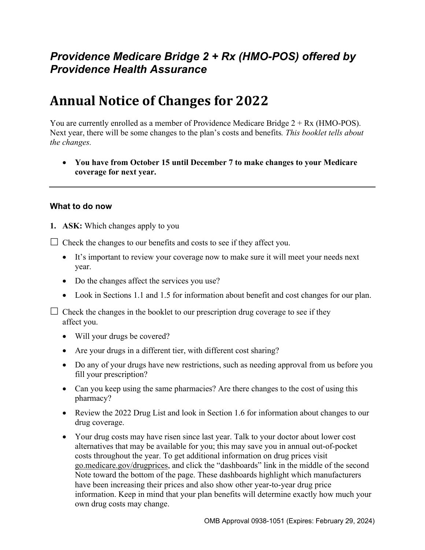## *Providence Medicare Bridge 2 + Rx (HMO-POS) offered by Providence Health Assurance*

# **Annual Notice of Changes for 2022**

You are currently enrolled as a member of Providence Medicare Bridge 2 + Rx (HMO-POS). Next year, there will be some changes to the plan's costs and benefits*. This booklet tells about the changes.* 

 **You have from October 15 until December 7 to make changes to your Medicare coverage for next year.** 

#### **What to do now**

**1. ASK:** Which changes apply to you

 $\Box$  Check the changes to our benefits and costs to see if they affect you.

- It's important to review your coverage now to make sure it will meet your needs next year.
- Do the changes affect the services you use?
- Look in Sections 1.1 and 1.5 for information about benefit and cost changes for our plan.

 $\Box$  Check the changes in the booklet to our prescription drug coverage to see if they affect you.

- Will your drugs be covered?
- Are your drugs in a different tier, with different cost sharing?
- Do any of your drugs have new restrictions, such as needing approval from us before you fill your prescription?
- Can you keep using the same pharmacies? Are there changes to the cost of using this pharmacy?
- Review the 2022 Drug List and look in Section 1.6 for information about changes to our drug coverage.
- Your drug costs may have risen since last year. Talk to your doctor about lower cost alternatives that may be available for you; this may save you in annual out-of-pocket costs throughout the year. To get additional information on drug prices visit [go.medicare.gov/drugprices,](https://go.medicare.gov/drugprices) and click the "dashboards" link in the middle of the second Note toward the bottom of the page. These dashboards highlight which manufacturers have been increasing their prices and also show other year-to-year drug price information. Keep in mind that your plan benefits will determine exactly how much your own drug costs may change.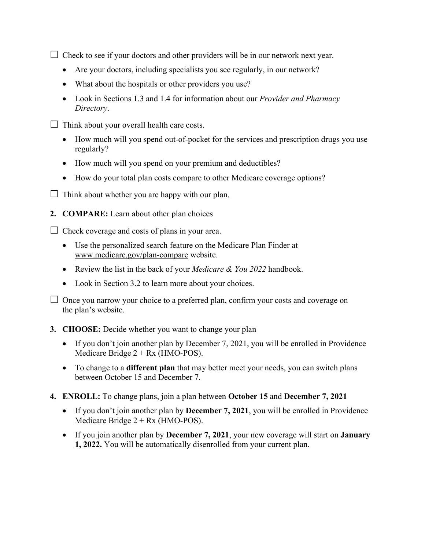$\Box$  Check to see if your doctors and other providers will be in our network next year.

- Are your doctors, including specialists you see regularly, in our network?
- What about the hospitals or other providers you use?
- Look in Sections 1.3 and 1.4 for information about our *Provider and Pharmacy Directory*.
- $\Box$  Think about your overall health care costs.
	- How much will you spend out-of-pocket for the services and prescription drugs you use regularly?
	- How much will you spend on your premium and deductibles?
	- How do your total plan costs compare to other Medicare coverage options?
- $\Box$  Think about whether you are happy with our plan.
- **2. COMPARE:** Learn about other plan choices

 $\Box$  Check coverage and costs of plans in your area.

- Use the personalized search feature on the Medicare Plan Finder at [www.medicare.gov/plan-compare](http://www.medicare.gov/plan-compare) website.
- Review the list in the back of your *Medicare & You 2022* handbook.
- Look in Section 3.2 to learn more about your choices.

 $\Box$  Once you narrow your choice to a preferred plan, confirm your costs and coverage on the plan's website.

#### **3. CHOOSE:** Decide whether you want to change your plan

- If you don't join another plan by December 7, 2021, you will be enrolled in Providence Medicare Bridge 2 + Rx (HMO-POS).
- To change to a **different plan** that may better meet your needs, you can switch plans between October 15 and December 7.
- **4. ENROLL:** To change plans, join a plan between **October 15** and **December 7, 2021** 
	- If you don't join another plan by **December 7, 2021**, you will be enrolled in Providence Medicare Bridge  $2 + Rx$  (HMO-POS).
	- If you join another plan by **December 7, 2021**, your new coverage will start on **January 1, 2022.** You will be automatically disenrolled from your current plan.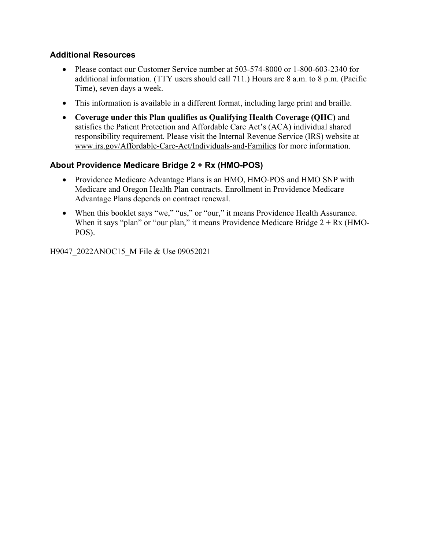#### **Additional Resources**

- Please contact our Customer Service number at 503-574-8000 or 1-800-603-2340 for additional information. (TTY users should call 711.) Hours are 8 a.m. to 8 p.m. (Pacific Time), seven days a week.
- This information is available in a different format, including large print and braille.
- **Coverage under this Plan qualifies as Qualifying Health Coverage (QHC)** and satisfies the Patient Protection and Affordable Care Act's (ACA) individual shared responsibility requirement. Please visit the Internal Revenue Service (IRS) website at [www.irs.gov/Affordable-Care-Act/Individuals-and-Families](http://www.irs.gov/Affordable-Care-Act/Individuals-and-Families) for more information.

#### **About Providence Medicare Bridge 2 + Rx (HMO-POS)**

- Providence Medicare Advantage Plans is an HMO, HMO-POS and HMO SNP with Medicare and Oregon Health Plan contracts. Enrollment in Providence Medicare Advantage Plans depends on contract renewal.
- When this booklet says "we," "us," or "our," it means Providence Health Assurance. When it says "plan" or "our plan," it means Providence Medicare Bridge  $2 + Rx$  (HMO-POS).

H9047\_2022ANOC15\_M File & Use 09052021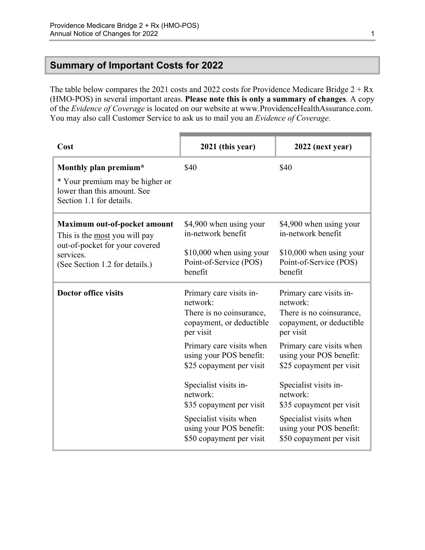## <span id="page-3-0"></span>**Summary of Important Costs for 2022**

The table below compares the 2021 costs and 2022 costs for Providence Medicare Bridge  $2 + Rx$ (HMO-POS) in several important areas. **Please note this is only a summary of changes**. A copy of the *Evidence of Coverage* is located on our website at [www.ProvidenceHealthAssurance.com](http://www.ProvidenceHealthAssurance.com). You may also call Customer Service to ask us to mail you an *Evidence of Coverage*.

| Cost                                                                          | 2021 (this year)                                                                                         | 2022 (next year)                                                                                         |
|-------------------------------------------------------------------------------|----------------------------------------------------------------------------------------------------------|----------------------------------------------------------------------------------------------------------|
| Monthly plan premium*<br>* Your premium may be higher or                      | \$40                                                                                                     | \$40                                                                                                     |
| lower than this amount. See<br>Section 1.1 for details.                       |                                                                                                          |                                                                                                          |
| Maximum out-of-pocket amount<br>This is the most you will pay                 | \$4,900 when using your<br>in-network benefit                                                            | \$4,900 when using your<br>in-network benefit                                                            |
| out-of-pocket for your covered<br>services.<br>(See Section 1.2 for details.) | \$10,000 when using your<br>Point-of-Service (POS)<br>benefit                                            | \$10,000 when using your<br>Point-of-Service (POS)<br>benefit                                            |
| <b>Doctor office visits</b>                                                   | Primary care visits in-<br>network:<br>There is no coinsurance,<br>copayment, or deductible<br>per visit | Primary care visits in-<br>network:<br>There is no coinsurance,<br>copayment, or deductible<br>per visit |
|                                                                               | Primary care visits when<br>using your POS benefit:<br>\$25 copayment per visit                          | Primary care visits when<br>using your POS benefit:<br>\$25 copayment per visit                          |
|                                                                               | Specialist visits in-<br>network:<br>\$35 copayment per visit                                            | Specialist visits in-<br>network:<br>\$35 copayment per visit                                            |
|                                                                               | Specialist visits when<br>using your POS benefit:<br>\$50 copayment per visit                            | Specialist visits when<br>using your POS benefit:<br>\$50 copayment per visit                            |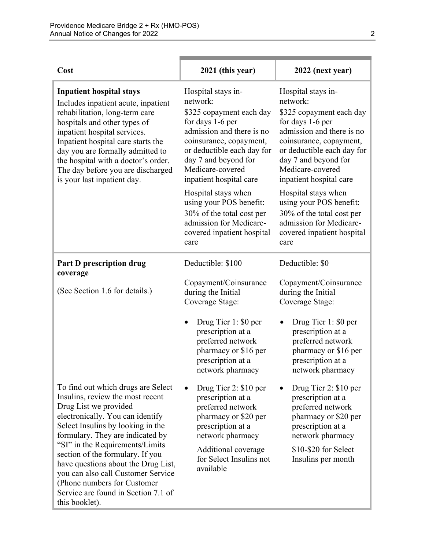| Cost                                                                                                                                                                                                                                                                                                                                                                                                                                                      | 2021 (this year)                                                                                                                                                                                                                            | 2022 (next year)                                                                                                                                                                                                                            |
|-----------------------------------------------------------------------------------------------------------------------------------------------------------------------------------------------------------------------------------------------------------------------------------------------------------------------------------------------------------------------------------------------------------------------------------------------------------|---------------------------------------------------------------------------------------------------------------------------------------------------------------------------------------------------------------------------------------------|---------------------------------------------------------------------------------------------------------------------------------------------------------------------------------------------------------------------------------------------|
| <b>Inpatient hospital stays</b><br>Includes inpatient acute, inpatient<br>rehabilitation, long-term care<br>hospitals and other types of<br>inpatient hospital services.<br>Inpatient hospital care starts the<br>day you are formally admitted to<br>the hospital with a doctor's order.<br>The day before you are discharged<br>is your last inpatient day.                                                                                             | Hospital stays in-<br>network:<br>\$325 copayment each day<br>for days 1-6 per<br>admission and there is no<br>coinsurance, copayment,<br>or deductible each day for<br>day 7 and beyond for<br>Medicare-covered<br>inpatient hospital care | Hospital stays in-<br>network:<br>\$325 copayment each day<br>for days 1-6 per<br>admission and there is no<br>coinsurance, copayment,<br>or deductible each day for<br>day 7 and beyond for<br>Medicare-covered<br>inpatient hospital care |
|                                                                                                                                                                                                                                                                                                                                                                                                                                                           | Hospital stays when<br>using your POS benefit:<br>30% of the total cost per<br>admission for Medicare-<br>covered inpatient hospital<br>care                                                                                                | Hospital stays when<br>using your POS benefit:<br>30% of the total cost per<br>admission for Medicare-<br>covered inpatient hospital<br>care                                                                                                |
| <b>Part D prescription drug</b><br>coverage                                                                                                                                                                                                                                                                                                                                                                                                               | Deductible: \$100                                                                                                                                                                                                                           | Deductible: \$0                                                                                                                                                                                                                             |
| (See Section 1.6 for details.)                                                                                                                                                                                                                                                                                                                                                                                                                            | Copayment/Coinsurance<br>during the Initial<br>Coverage Stage:                                                                                                                                                                              | Copayment/Coinsurance<br>during the Initial<br>Coverage Stage:                                                                                                                                                                              |
|                                                                                                                                                                                                                                                                                                                                                                                                                                                           | Drug Tier 1: \$0 per<br>$\bullet$<br>prescription at a<br>preferred network<br>pharmacy or \$16 per<br>prescription at a<br>network pharmacy                                                                                                | Drug Tier 1: \$0 per<br>prescription at a<br>preferred network<br>pharmacy or \$16 per<br>prescription at a<br>network pharmacy                                                                                                             |
| To find out which drugs are Select<br>Insulins, review the most recent<br>Drug List we provided<br>electronically. You can identify<br>Select Insulins by looking in the<br>formulary. They are indicated by<br>"SI" in the Requirements/Limits<br>section of the formulary. If you<br>have questions about the Drug List,<br>you can also call Customer Service<br>(Phone numbers for Customer)<br>Service are found in Section 7.1 of<br>this booklet). | Drug Tier 2: \$10 per<br>prescription at a<br>preferred network<br>pharmacy or \$20 per<br>prescription at a<br>network pharmacy<br>Additional coverage<br>for Select Insulins not<br>available                                             | Drug Tier 2: \$10 per<br>prescription at a<br>preferred network<br>pharmacy or \$20 per<br>prescription at a<br>network pharmacy<br>\$10-\$20 for Select<br>Insulins per month                                                              |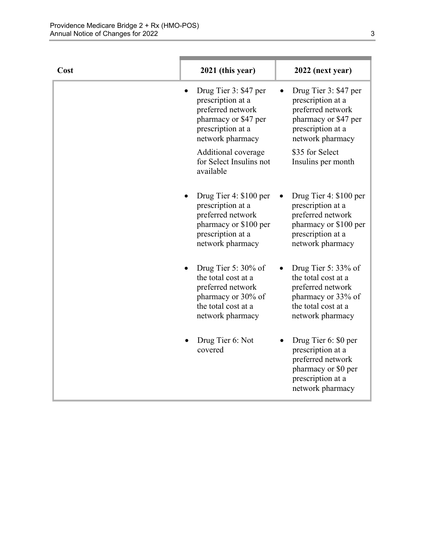| Cost | 2021 (this year)                                                                                                                    | 2022 (next year)                                                                                                                    |
|------|-------------------------------------------------------------------------------------------------------------------------------------|-------------------------------------------------------------------------------------------------------------------------------------|
|      | Drug Tier 3: \$47 per<br>prescription at a<br>preferred network<br>pharmacy or \$47 per<br>prescription at a<br>network pharmacy    | Drug Tier 3: \$47 per<br>prescription at a<br>preferred network<br>pharmacy or \$47 per<br>prescription at a<br>network pharmacy    |
|      | Additional coverage<br>for Select Insulins not<br>available                                                                         | \$35 for Select<br>Insulins per month                                                                                               |
|      | Drug Tier 4: \$100 per<br>prescription at a<br>preferred network<br>pharmacy or \$100 per<br>prescription at a<br>network pharmacy  | Drug Tier 4: \$100 per<br>prescription at a<br>preferred network<br>pharmacy or \$100 per<br>prescription at a<br>network pharmacy  |
|      | Drug Tier 5: $30\%$ of<br>the total cost at a<br>preferred network<br>pharmacy or 30% of<br>the total cost at a<br>network pharmacy | Drug Tier 5: $33\%$ of<br>the total cost at a<br>preferred network<br>pharmacy or 33% of<br>the total cost at a<br>network pharmacy |
|      | Drug Tier 6: Not<br>covered                                                                                                         | Drug Tier 6: \$0 per<br>prescription at a<br>preferred network<br>pharmacy or \$0 per<br>prescription at a<br>network pharmacy      |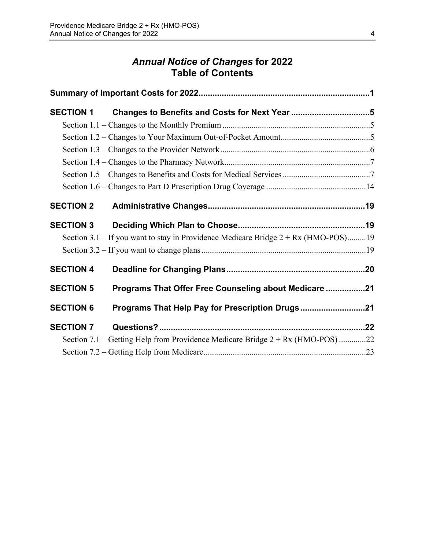## *Annual Notice of Changes* **for 2022 Table of Contents**

| <b>SECTION 1</b> |                                                                                      |  |
|------------------|--------------------------------------------------------------------------------------|--|
|                  |                                                                                      |  |
|                  |                                                                                      |  |
|                  |                                                                                      |  |
|                  |                                                                                      |  |
|                  |                                                                                      |  |
|                  |                                                                                      |  |
| <b>SECTION 2</b> |                                                                                      |  |
| <b>SECTION 3</b> |                                                                                      |  |
|                  | Section 3.1 – If you want to stay in Providence Medicare Bridge $2 + Rx$ (HMO-POS)19 |  |
|                  |                                                                                      |  |
| <b>SECTION 4</b> |                                                                                      |  |
| <b>SECTION 5</b> | Programs That Offer Free Counseling about Medicare 21                                |  |
| <b>SECTION 6</b> | Programs That Help Pay for Prescription Drugs21                                      |  |
| <b>SECTION 7</b> |                                                                                      |  |
|                  | Section 7.1 – Getting Help from Providence Medicare Bridge $2 + Rx$ (HMO-POS) 22     |  |
|                  |                                                                                      |  |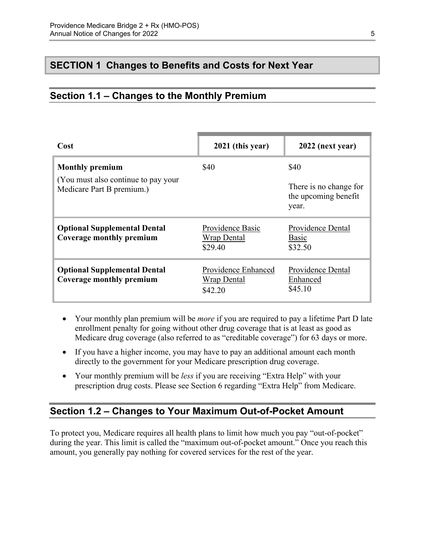## <span id="page-7-0"></span>**SECTION 1 Changes to Benefits and Costs for Next Year**

## <span id="page-7-1"></span>**Section 1.1 – Changes to the Monthly Premium**

| Cost                                                            | 2021 (this year)                                     | 2022 (next year)                                        |
|-----------------------------------------------------------------|------------------------------------------------------|---------------------------------------------------------|
| <b>Monthly premium</b><br>(You must also continue to pay your)  | \$40                                                 | \$40                                                    |
| Medicare Part B premium.)                                       |                                                      | There is no change for<br>the upcoming benefit<br>year. |
| <b>Optional Supplemental Dental</b><br>Coverage monthly premium | Providence Basic<br><b>Wrap Dental</b><br>\$29.40    | Providence Dental<br>Basic<br>\$32.50                   |
| <b>Optional Supplemental Dental</b><br>Coverage monthly premium | Providence Enhanced<br><b>Wrap Dental</b><br>\$42.20 | Providence Dental<br>Enhanced<br>\$45.10                |

- Your monthly plan premium will be *more* if you are required to pay a lifetime Part D late enrollment penalty for going without other drug coverage that is at least as good as Medicare drug coverage (also referred to as "creditable coverage") for 63 days or more.
- If you have a higher income, you may have to pay an additional amount each month directly to the government for your Medicare prescription drug coverage.
- Your monthly premium will be *less* if you are receiving "Extra Help" with your prescription drug costs. Please see Section 6 regarding "Extra Help" from Medicare.

#### <span id="page-7-2"></span>**Section 1.2 – Changes to Your Maximum Out-of-Pocket Amount**

 amount, you generally pay nothing for covered services for the rest of the year. To protect you, Medicare requires all health plans to limit how much you pay "out-of-pocket" during the year. This limit is called the "maximum out-of-pocket amount." Once you reach this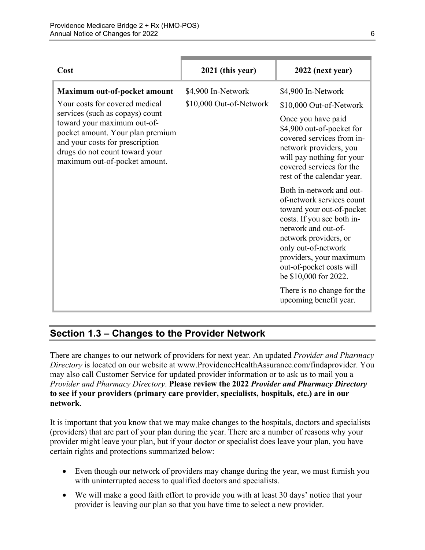| Cost                                                                                                                                                                                                                                                                       | 2021 (this year)                              | 2022 (next year)                                                                                                                                                                                                                                                                                                                |
|----------------------------------------------------------------------------------------------------------------------------------------------------------------------------------------------------------------------------------------------------------------------------|-----------------------------------------------|---------------------------------------------------------------------------------------------------------------------------------------------------------------------------------------------------------------------------------------------------------------------------------------------------------------------------------|
| Maximum out-of-pocket amount<br>Your costs for covered medical<br>services (such as copays) count<br>toward your maximum out-of-<br>pocket amount. Your plan premium<br>and your costs for prescription<br>drugs do not count toward your<br>maximum out-of-pocket amount. | \$4,900 In-Network<br>\$10,000 Out-of-Network | \$4,900 In-Network<br>\$10,000 Out-of-Network<br>Once you have paid<br>\$4,900 out-of-pocket for<br>covered services from in-<br>network providers, you<br>will pay nothing for your<br>covered services for the<br>rest of the calendar year.                                                                                  |
|                                                                                                                                                                                                                                                                            |                                               | Both in-network and out-<br>of-network services count<br>toward your out-of-pocket<br>costs. If you see both in-<br>network and out-of-<br>network providers, or<br>only out-of-network<br>providers, your maximum<br>out-of-pocket costs will<br>be \$10,000 for 2022.<br>There is no change for the<br>upcoming benefit year. |

## <span id="page-8-0"></span>**Section 1.3 – Changes to the Provider Network**

 **to see if your providers (primary care provider, specialists, hospitals, etc.) are in our**  There are changes to our network of providers for next year. An updated *Provider and Pharmacy Directory* is located on our website at [www.ProvidenceHealthAssurance.com/findaprovider.](http://www.ProvidenceHealthAssurance.com/findaprovider) You may also call Customer Service for updated provider information or to ask us to mail you a *Provider and Pharmacy Directory*. **Please review the 2022** *Provider and Pharmacy Directory*  **network**.

It is important that you know that we may make changes to the hospitals, doctors and specialists (providers) that are part of your plan during the year. There are a number of reasons why your provider might leave your plan, but if your doctor or specialist does leave your plan, you have certain rights and protections summarized below:

- Even though our network of providers may change during the year, we must furnish you with uninterrupted access to qualified doctors and specialists.
- We will make a good faith effort to provide you with at least 30 days' notice that your provider is leaving our plan so that you have time to select a new provider.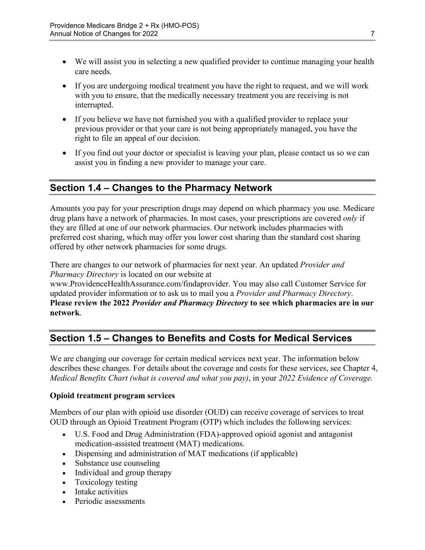- We will assist you in selecting a new qualified provider to continue managing your health care needs.
- If you are undergoing medical treatment you have the right to request, and we will work with you to ensure, that the medically necessary treatment you are receiving is not interrupted.
- If you believe we have not furnished you with a qualified provider to replace your previous provider or that your care is not being appropriately managed, you have the right to file an appeal of our decision.
- If you find out your doctor or specialist is leaving your plan, please contact us so we can assist you in finding a new provider to manage your care.

## <span id="page-9-0"></span>**Section 1.4 – Changes to the Pharmacy Network**

Amounts you pay for your prescription drugs may depend on which pharmacy you use. Medicare drug plans have a network of pharmacies. In most cases, your prescriptions are covered *only* if they are filled at one of our network pharmacies. Our network includes pharmacies with preferred cost sharing, which may offer you lower cost sharing than the standard cost sharing offered by other network pharmacies for some drugs.

There are changes to our network of pharmacies for next year. An updated *Provider and Pharmacy Directory* is located on our website at

[www.ProvidenceHealthAssurance.com/findaprovider](http://www.ProvidenceHealthAssurance.com/findaprovider). You may also call Customer Service for updated provider information or to ask us to mail you a *Provider and Pharmacy Directory*. **Please review the 2022** *Provider and Pharmacy Directory* **to see which pharmacies are in our network**.

## <span id="page-9-1"></span>**Section 1.5 – Changes to Benefits and Costs for Medical Services**

We are changing our coverage for certain medical services next year. The information below describes these changes. For details about the coverage and costs for these services, see Chapter 4, *Medical Benefits Chart (what is covered and what you pay)*, in your *2022 Evidence of Coverage.* 

#### **Opioid treatment program services**

Members of our plan with opioid use disorder (OUD) can receive coverage of services to treat OUD through an Opioid Treatment Program (OTP) which includes the following services:

- U.S. Food and Drug Administration (FDA)-approved opioid agonist and antagonist medication-assisted treatment (MAT) medications.
- Dispensing and administration of MAT medications (if applicable)
- Substance use counseling
- Individual and group therapy
- Toxicology testing
- Intake activities
- Periodic assessments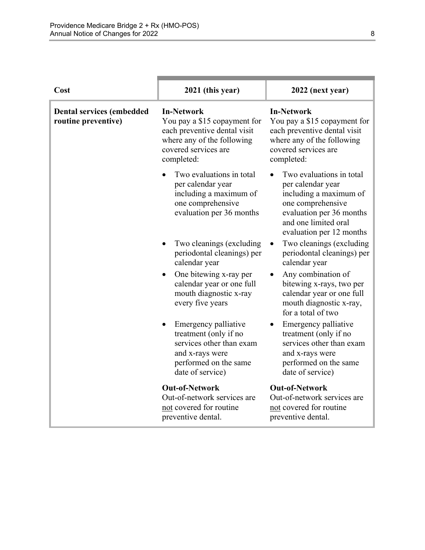| Cost                                                    | 2021 (this year)                                                                                                                                      | 2022 (next year)                                                                                                                                                             |
|---------------------------------------------------------|-------------------------------------------------------------------------------------------------------------------------------------------------------|------------------------------------------------------------------------------------------------------------------------------------------------------------------------------|
| <b>Dental services (embedded</b><br>routine preventive) | <b>In-Network</b><br>You pay a \$15 copayment for<br>each preventive dental visit<br>where any of the following<br>covered services are<br>completed: | <b>In-Network</b><br>You pay a \$15 copayment for<br>each preventive dental visit<br>where any of the following<br>covered services are<br>completed:                        |
|                                                         | Two evaluations in total<br>per calendar year<br>including a maximum of<br>one comprehensive<br>evaluation per 36 months                              | Two evaluations in total<br>per calendar year<br>including a maximum of<br>one comprehensive<br>evaluation per 36 months<br>and one limited oral<br>evaluation per 12 months |
|                                                         | Two cleanings (excluding<br>periodontal cleanings) per<br>calendar year                                                                               | Two cleanings (excluding)<br>periodontal cleanings) per<br>calendar year                                                                                                     |
|                                                         | One bitewing x-ray per<br>calendar year or one full<br>mouth diagnostic x-ray<br>every five years                                                     | Any combination of<br>bitewing x-rays, two per<br>calendar year or one full<br>mouth diagnostic x-ray,<br>for a total of two                                                 |
|                                                         | Emergency palliative<br>treatment (only if no<br>services other than exam<br>and x-rays were<br>performed on the same<br>date of service)             | Emergency palliative<br>treatment (only if no<br>services other than exam<br>and x-rays were<br>performed on the same<br>date of service)                                    |
|                                                         | <b>Out-of-Network</b><br>Out-of-network services are<br>not covered for routine<br>preventive dental.                                                 | <b>Out-of-Network</b><br>Out-of-network services are<br>not covered for routine<br>preventive dental.                                                                        |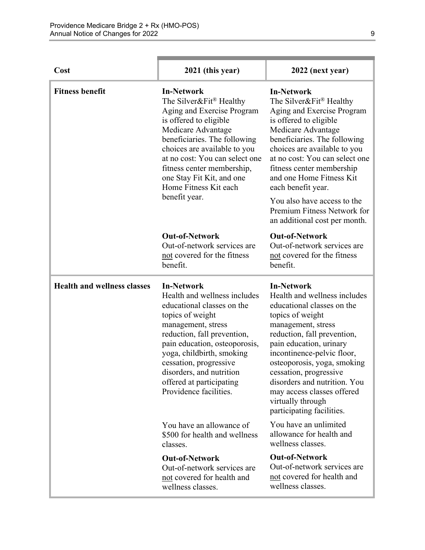| Cost                               | 2021 (this year)                                                                                                                                                                                                                                                                                                                   | 2022 (next year)                                                                                                                                                                                                                                                                                                                                                                                           |
|------------------------------------|------------------------------------------------------------------------------------------------------------------------------------------------------------------------------------------------------------------------------------------------------------------------------------------------------------------------------------|------------------------------------------------------------------------------------------------------------------------------------------------------------------------------------------------------------------------------------------------------------------------------------------------------------------------------------------------------------------------------------------------------------|
| <b>Fitness benefit</b>             | <b>In-Network</b><br>The Silver&Fit® Healthy<br>Aging and Exercise Program<br>is offered to eligible<br>Medicare Advantage<br>beneficiaries. The following<br>choices are available to you<br>at no cost: You can select one<br>fitness center membership,<br>one Stay Fit Kit, and one<br>Home Fitness Kit each<br>benefit year.  | <b>In-Network</b><br>The Silver&Fit® Healthy<br>Aging and Exercise Program<br>is offered to eligible<br>Medicare Advantage<br>beneficiaries. The following<br>choices are available to you<br>at no cost: You can select one<br>fitness center membership<br>and one Home Fitness Kit<br>each benefit year.<br>You also have access to the<br>Premium Fitness Network for<br>an additional cost per month. |
|                                    | <b>Out-of-Network</b><br>Out-of-network services are<br>not covered for the fitness<br>benefit.                                                                                                                                                                                                                                    | <b>Out-of-Network</b><br>Out-of-network services are<br>not covered for the fitness<br>benefit.                                                                                                                                                                                                                                                                                                            |
| <b>Health and wellness classes</b> | <b>In-Network</b><br>Health and wellness includes<br>educational classes on the<br>topics of weight<br>management, stress<br>reduction, fall prevention,<br>pain education, osteoporosis,<br>yoga, childbirth, smoking<br>cessation, progressive<br>disorders, and nutrition<br>offered at participating<br>Providence facilities. | <b>In-Network</b><br>Health and wellness includes<br>educational classes on the<br>topics of weight<br>management, stress<br>reduction, fall prevention,<br>pain education, urinary<br>incontinence-pelvic floor,<br>osteoporosis, yoga, smoking<br>cessation, progressive<br>disorders and nutrition. You<br>may access classes offered<br>virtually through<br>participating facilities.                 |
|                                    | You have an allowance of<br>\$500 for health and wellness<br>classes.                                                                                                                                                                                                                                                              | You have an unlimited<br>allowance for health and<br>wellness classes.                                                                                                                                                                                                                                                                                                                                     |
|                                    | <b>Out-of-Network</b><br>Out-of-network services are<br>not covered for health and<br>wellness classes.                                                                                                                                                                                                                            | <b>Out-of-Network</b><br>Out-of-network services are<br>not covered for health and<br>wellness classes.                                                                                                                                                                                                                                                                                                    |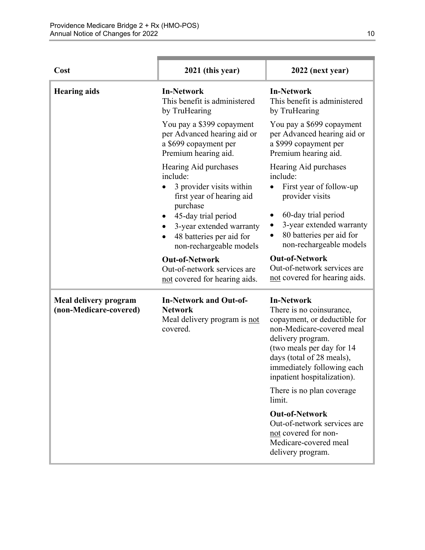| Cost                                                   | 2021 (this year)                                                                                          | 2022 (next year)                                                                                                                                                                                                                                                                     |
|--------------------------------------------------------|-----------------------------------------------------------------------------------------------------------|--------------------------------------------------------------------------------------------------------------------------------------------------------------------------------------------------------------------------------------------------------------------------------------|
| <b>Hearing aids</b>                                    | <b>In-Network</b><br>This benefit is administered<br>by TruHearing                                        | <b>In-Network</b><br>This benefit is administered<br>by TruHearing                                                                                                                                                                                                                   |
|                                                        | You pay a \$399 copayment<br>per Advanced hearing aid or<br>a \$699 copayment per<br>Premium hearing aid. | You pay a \$699 copayment<br>per Advanced hearing aid or<br>a \$999 copayment per<br>Premium hearing aid.                                                                                                                                                                            |
|                                                        | Hearing Aid purchases<br>include:<br>3 provider visits within<br>first year of hearing aid<br>purchase    | Hearing Aid purchases<br>include:<br>First year of follow-up<br>provider visits                                                                                                                                                                                                      |
|                                                        | 45-day trial period<br>3-year extended warranty<br>48 batteries per aid for<br>non-rechargeable models    | 60-day trial period<br>3-year extended warranty<br>80 batteries per aid for<br>non-rechargeable models                                                                                                                                                                               |
|                                                        | <b>Out-of-Network</b><br>Out-of-network services are<br>not covered for hearing aids.                     | <b>Out-of-Network</b><br>Out-of-network services are<br>not covered for hearing aids.                                                                                                                                                                                                |
| <b>Meal delivery program</b><br>(non-Medicare-covered) | <b>In-Network and Out-of-</b><br><b>Network</b><br>Meal delivery program is not<br>covered.               | <b>In-Network</b><br>There is no coinsurance,<br>copayment, or deductible for<br>non-Medicare-covered meal<br>delivery program.<br>(two meals per day for 14<br>days (total of 28 meals),<br>immediately following each<br>inpatient hospitalization).<br>There is no plan coverage. |
|                                                        |                                                                                                           | limit.                                                                                                                                                                                                                                                                               |
|                                                        |                                                                                                           | <b>Out-of-Network</b><br>Out-of-network services are<br>not covered for non-<br>Medicare-covered meal<br>delivery program.                                                                                                                                                           |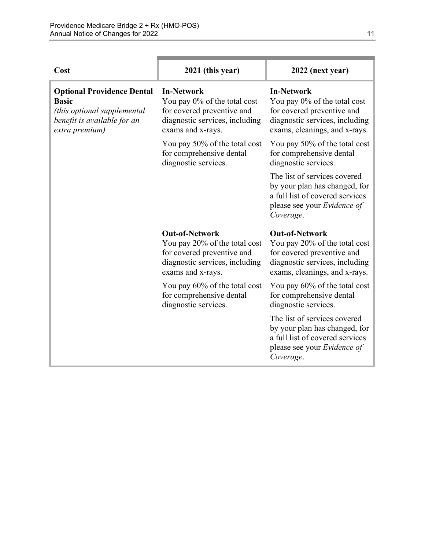| Cost                                                                                                                              | 2021 (this year)                                                                                                                            | 2022 (next year)                                                                                                                                        |
|-----------------------------------------------------------------------------------------------------------------------------------|---------------------------------------------------------------------------------------------------------------------------------------------|---------------------------------------------------------------------------------------------------------------------------------------------------------|
| <b>Optional Providence Dental</b><br><b>Basic</b><br>(this optional supplemental<br>benefit is available for an<br>extra premium) | <b>In-Network</b><br>You pay $0\%$ of the total cost<br>for covered preventive and<br>diagnostic services, including<br>exams and x-rays.   | <b>In-Network</b><br>You pay 0% of the total cost<br>for covered preventive and<br>diagnostic services, including<br>exams, cleanings, and x-rays.      |
|                                                                                                                                   | You pay 50% of the total cost<br>for comprehensive dental<br>diagnostic services.                                                           | You pay 50% of the total cost<br>for comprehensive dental<br>diagnostic services.                                                                       |
|                                                                                                                                   |                                                                                                                                             | The list of services covered<br>by your plan has changed, for<br>a full list of covered services<br>please see your Evidence of<br>Coverage.            |
|                                                                                                                                   | <b>Out-of-Network</b><br>You pay 20% of the total cost<br>for covered preventive and<br>diagnostic services, including<br>exams and x-rays. | <b>Out-of-Network</b><br>You pay 20% of the total cost<br>for covered preventive and<br>diagnostic services, including<br>exams, cleanings, and x-rays. |
|                                                                                                                                   | You pay 60% of the total cost<br>for comprehensive dental<br>diagnostic services.                                                           | You pay 60% of the total cost<br>for comprehensive dental<br>diagnostic services.                                                                       |
|                                                                                                                                   |                                                                                                                                             | The list of services covered<br>by your plan has changed, for<br>a full list of covered services<br>please see your Evidence of<br>Coverage.            |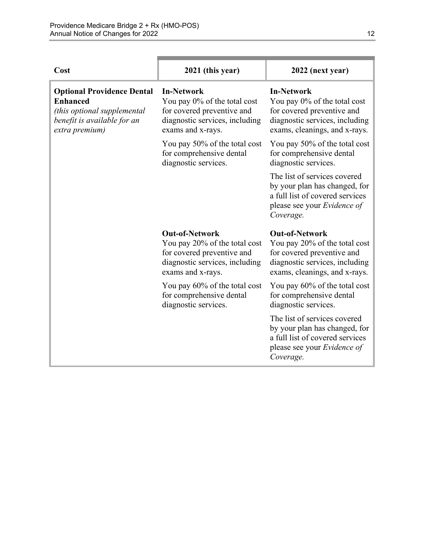| Cost                                                                                                                                 | 2021 (this year)                                                                                                                            | 2022 (next year)                                                                                                                                        |
|--------------------------------------------------------------------------------------------------------------------------------------|---------------------------------------------------------------------------------------------------------------------------------------------|---------------------------------------------------------------------------------------------------------------------------------------------------------|
| <b>Optional Providence Dental</b><br><b>Enhanced</b><br>(this optional supplemental<br>benefit is available for an<br>extra premium) | <b>In-Network</b><br>You pay 0% of the total cost<br>for covered preventive and<br>diagnostic services, including<br>exams and x-rays.      | <b>In-Network</b><br>You pay 0% of the total cost<br>for covered preventive and<br>diagnostic services, including<br>exams, cleanings, and x-rays.      |
|                                                                                                                                      | You pay 50% of the total cost<br>for comprehensive dental<br>diagnostic services.                                                           | You pay 50% of the total cost<br>for comprehensive dental<br>diagnostic services.                                                                       |
|                                                                                                                                      |                                                                                                                                             | The list of services covered<br>by your plan has changed, for<br>a full list of covered services<br>please see your Evidence of<br>Coverage.            |
|                                                                                                                                      | <b>Out-of-Network</b><br>You pay 20% of the total cost<br>for covered preventive and<br>diagnostic services, including<br>exams and x-rays. | <b>Out-of-Network</b><br>You pay 20% of the total cost<br>for covered preventive and<br>diagnostic services, including<br>exams, cleanings, and x-rays. |
|                                                                                                                                      | You pay 60% of the total cost<br>for comprehensive dental<br>diagnostic services.                                                           | You pay 60% of the total cost<br>for comprehensive dental<br>diagnostic services.                                                                       |
|                                                                                                                                      |                                                                                                                                             | The list of services covered<br>by your plan has changed, for<br>a full list of covered services<br>please see your Evidence of<br>Coverage.            |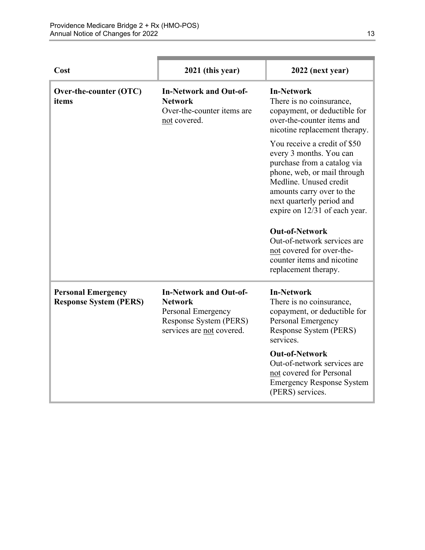| Cost                                                       | 2021 (this year)                                                                                                             | 2022 (next year)                                                                                                                                                                                                                                                                                                                                              |
|------------------------------------------------------------|------------------------------------------------------------------------------------------------------------------------------|---------------------------------------------------------------------------------------------------------------------------------------------------------------------------------------------------------------------------------------------------------------------------------------------------------------------------------------------------------------|
| Over-the-counter (OTC)<br>items                            | <b>In-Network and Out-of-</b><br><b>Network</b><br>Over-the-counter items are<br>not covered.                                | <b>In-Network</b><br>There is no coinsurance,<br>copayment, or deductible for<br>over-the-counter items and<br>nicotine replacement therapy.                                                                                                                                                                                                                  |
|                                                            |                                                                                                                              | You receive a credit of \$50<br>every 3 months. You can<br>purchase from a catalog via<br>phone, web, or mail through<br>Medline. Unused credit<br>amounts carry over to the<br>next quarterly period and<br>expire on 12/31 of each year.<br><b>Out-of-Network</b><br>Out-of-network services are<br>not covered for over-the-<br>counter items and nicotine |
|                                                            |                                                                                                                              | replacement therapy.                                                                                                                                                                                                                                                                                                                                          |
| <b>Personal Emergency</b><br><b>Response System (PERS)</b> | <b>In-Network and Out-of-</b><br><b>Network</b><br>Personal Emergency<br>Response System (PERS)<br>services are not covered. | <b>In-Network</b><br>There is no coinsurance,<br>copayment, or deductible for<br>Personal Emergency<br>Response System (PERS)<br>services.                                                                                                                                                                                                                    |
|                                                            |                                                                                                                              | <b>Out-of-Network</b><br>Out-of-network services are<br>not covered for Personal<br><b>Emergency Response System</b><br>(PERS) services.                                                                                                                                                                                                                      |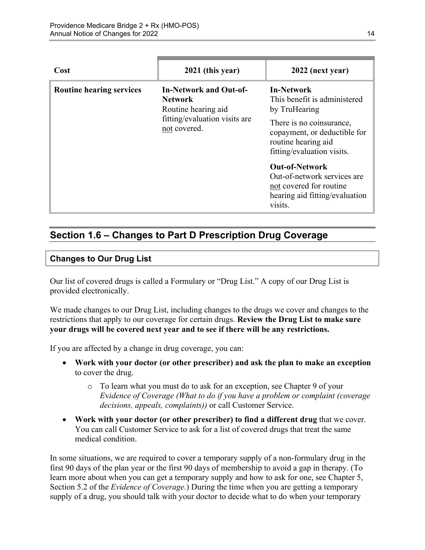| Cost                            | 2021 (this year)                                                                                                        | 2022 (next year)                                                                                                                                                                    |
|---------------------------------|-------------------------------------------------------------------------------------------------------------------------|-------------------------------------------------------------------------------------------------------------------------------------------------------------------------------------|
| <b>Routine hearing services</b> | <b>In-Network and Out-of-</b><br><b>Network</b><br>Routine hearing aid<br>fitting/evaluation visits are<br>not covered. | <b>In-Network</b><br>This benefit is administered<br>by TruHearing<br>There is no coinsurance,<br>copayment, or deductible for<br>routine hearing aid<br>fitting/evaluation visits. |
|                                 |                                                                                                                         | <b>Out-of-Network</b><br>Out-of-network services are<br>not covered for routine<br>hearing aid fitting/evaluation<br>visits.                                                        |

## <span id="page-16-0"></span>**Section 1.6 – Changes to Part D Prescription Drug Coverage**

#### **Changes to Our Drug List**

Our list of covered drugs is called a Formulary or "Drug List." A copy of our Drug List is provided electronically.

We made changes to our Drug List, including changes to the drugs we cover and changes to the restrictions that apply to our coverage for certain drugs. **Review the Drug List to make sure your drugs will be covered next year and to see if there will be any restrictions.** 

If you are affected by a change in drug coverage, you can:

- **Work with your doctor (or other prescriber) and ask the plan to make an exception**  to cover the drug.
	- o To learn what you must do to ask for an exception, see Chapter 9 of your *E*v*idence of Coverage (What to do if you have a problem or complaint (coverage decisions, appeals, complaints))* or call Customer Service.
- **Work with your doctor (or other prescriber) to find a different drug** that we cover. You can call Customer Service to ask for a list of covered drugs that treat the same medical condition.

 Section 5.2 of the *Evidence of Coverage.*) During the time when you are getting a temporary In some situations, we are required to cover a temporary supply of a non-formulary drug in the first 90 days of the plan year or the first 90 days of membership to avoid a gap in therapy. (To learn more about when you can get a temporary supply and how to ask for one, see Chapter 5, supply of a drug, you should talk with your doctor to decide what to do when your temporary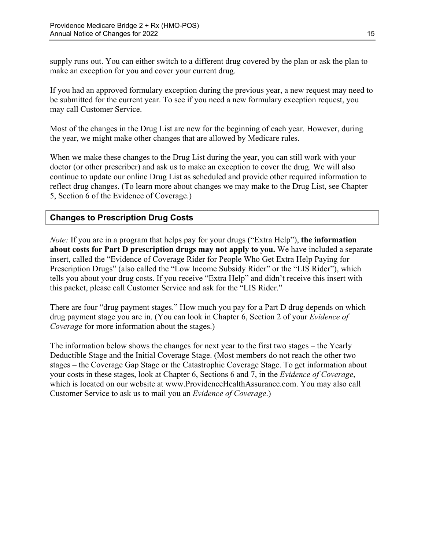supply runs out. You can either switch to a different drug covered by the plan or ask the plan to make an exception for you and cover your current drug.

If you had an approved formulary exception during the previous year, a new request may need to be submitted for the current year. To see if you need a new formulary exception request, you may call Customer Service.

Most of the changes in the Drug List are new for the beginning of each year. However, during the year, we might make other changes that are allowed by Medicare rules.

When we make these changes to the Drug List during the year, you can still work with your doctor (or other prescriber) and ask us to make an exception to cover the drug. We will also continue to update our online Drug List as scheduled and provide other required information to reflect drug changes. (To learn more about changes we may make to the Drug List, see Chapter 5, Section 6 of the Evidence of Coverage.)

#### **Changes to Prescription Drug Costs**

*Note:* If you are in a program that helps pay for your drugs ("Extra Help"), **the information about costs for Part D prescription drugs may not apply to you.** We have included a separate insert, called the "Evidence of Coverage Rider for People Who Get Extra Help Paying for Prescription Drugs" (also called the "Low Income Subsidy Rider" or the "LIS Rider"), which tells you about your drug costs. If you receive "Extra Help" and didn't receive this insert with this packet, please call Customer Service and ask for the "LIS Rider."

There are four "drug payment stages." How much you pay for a Part D drug depends on which drug payment stage you are in. (You can look in Chapter 6, Section 2 of your *Evidence of Coverage* for more information about the stages.)

The information below shows the changes for next year to the first two stages – the Yearly Deductible Stage and the Initial Coverage Stage. (Most members do not reach the other two stages – the Coverage Gap Stage or the Catastrophic Coverage Stage. To get information about your costs in these stages, look at Chapter 6, Sections 6 and 7, in the *Evidence of Coverage*, which is located on our website at [www.ProvidenceHealthAssurance.com.](http://www.ProvidenceHealthAssurance.com) You may also call Customer Service to ask us to mail you an *Evidence of Coverage*.)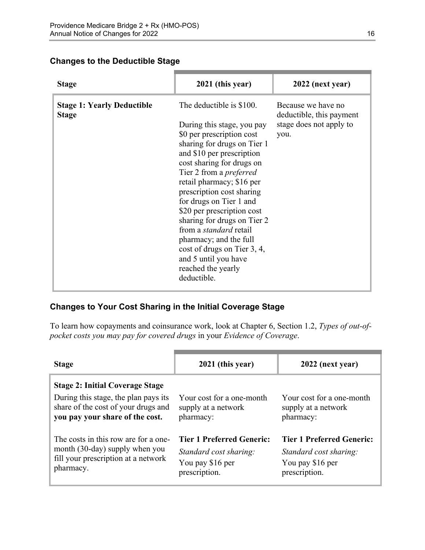#### **Changes to the Deductible Stage**

| <b>Stage</b>                                      | 2021 (this year)                                                                                                                                                                                                                                                                                                                                                                                                                                                                                                        | 2022 (next year)                                                                  |
|---------------------------------------------------|-------------------------------------------------------------------------------------------------------------------------------------------------------------------------------------------------------------------------------------------------------------------------------------------------------------------------------------------------------------------------------------------------------------------------------------------------------------------------------------------------------------------------|-----------------------------------------------------------------------------------|
| <b>Stage 1: Yearly Deductible</b><br><b>Stage</b> | The deductible is \$100.<br>During this stage, you pay<br>\$0 per prescription cost<br>sharing for drugs on Tier 1<br>and \$10 per prescription<br>cost sharing for drugs on<br>Tier 2 from a <i>preferred</i><br>retail pharmacy; \$16 per<br>prescription cost sharing<br>for drugs on Tier 1 and<br>\$20 per prescription cost<br>sharing for drugs on Tier 2<br>from a <i>standard</i> retail<br>pharmacy; and the full<br>cost of drugs on Tier 3, 4,<br>and 5 until you have<br>reached the yearly<br>deductible. | Because we have no<br>deductible, this payment<br>stage does not apply to<br>you. |

#### **Changes to Your Cost Sharing in the Initial Coverage Stage**

To learn how copayments and coinsurance work, look at Chapter 6, Section 1.2, *Types of out-ofpocket costs you may pay for covered drugs* in your *Evidence of Coverage*.

| <b>Stage</b>                                                                                                                                             | 2021 (this year)                                                                                | 2022 (next year)                                                                                |
|----------------------------------------------------------------------------------------------------------------------------------------------------------|-------------------------------------------------------------------------------------------------|-------------------------------------------------------------------------------------------------|
| <b>Stage 2: Initial Coverage Stage</b><br>During this stage, the plan pays its<br>share of the cost of your drugs and<br>you pay your share of the cost. | Your cost for a one-month<br>supply at a network<br>pharmacy:                                   | Your cost for a one-month<br>supply at a network<br>pharmacy:                                   |
| The costs in this row are for a one-<br>month (30-day) supply when you<br>fill your prescription at a network<br>pharmacy.                               | <b>Tier 1 Preferred Generic:</b><br>Standard cost sharing:<br>You pay \$16 per<br>prescription. | <b>Tier 1 Preferred Generic:</b><br>Standard cost sharing:<br>You pay \$16 per<br>prescription. |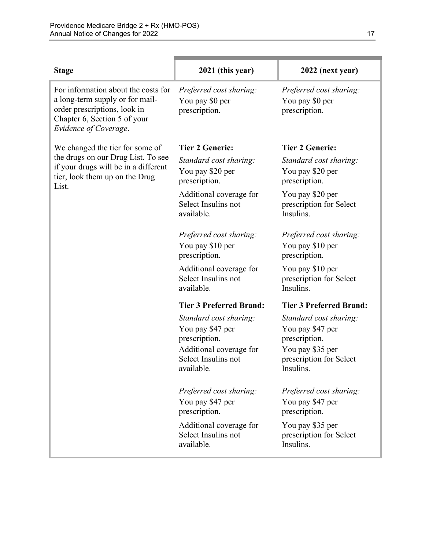| <b>Stage</b>                                                                                                                                                    | 2021 (this year)                                                                                                            | 2022 (next year)                                                                                                        |
|-----------------------------------------------------------------------------------------------------------------------------------------------------------------|-----------------------------------------------------------------------------------------------------------------------------|-------------------------------------------------------------------------------------------------------------------------|
| For information about the costs for<br>a long-term supply or for mail-<br>order prescriptions, look in<br>Chapter 6, Section 5 of your<br>Evidence of Coverage. | Preferred cost sharing:<br>You pay \$0 per<br>prescription.                                                                 | Preferred cost sharing:<br>You pay \$0 per<br>prescription.                                                             |
| We changed the tier for some of                                                                                                                                 | <b>Tier 2 Generic:</b>                                                                                                      | <b>Tier 2 Generic:</b>                                                                                                  |
| the drugs on our Drug List. To see<br>if your drugs will be in a different<br>tier, look them up on the Drug<br>List.                                           | Standard cost sharing:<br>You pay \$20 per<br>prescription.                                                                 | Standard cost sharing:<br>You pay \$20 per<br>prescription.                                                             |
|                                                                                                                                                                 | Additional coverage for<br>Select Insulins not<br>available.                                                                | You pay \$20 per<br>prescription for Select<br>Insulins.                                                                |
|                                                                                                                                                                 | Preferred cost sharing:<br>You pay \$10 per<br>prescription.                                                                | Preferred cost sharing:<br>You pay \$10 per<br>prescription.                                                            |
|                                                                                                                                                                 | Additional coverage for<br>Select Insulins not<br>available.                                                                | You pay \$10 per<br>prescription for Select<br>Insulins.                                                                |
|                                                                                                                                                                 | <b>Tier 3 Preferred Brand:</b>                                                                                              | <b>Tier 3 Preferred Brand:</b>                                                                                          |
|                                                                                                                                                                 | Standard cost sharing:<br>You pay \$47 per<br>prescription.<br>Additional coverage for<br>Select Insulins not<br>available. | Standard cost sharing:<br>You pay \$47 per<br>prescription.<br>You pay \$35 per<br>prescription for Select<br>Insulins. |
|                                                                                                                                                                 | Preferred cost sharing:<br>You pay \$47 per<br>prescription.                                                                | Preferred cost sharing:<br>You pay \$47 per<br>prescription.                                                            |
|                                                                                                                                                                 | Additional coverage for<br>Select Insulins not<br>available.                                                                | You pay \$35 per<br>prescription for Select<br>Insulins.                                                                |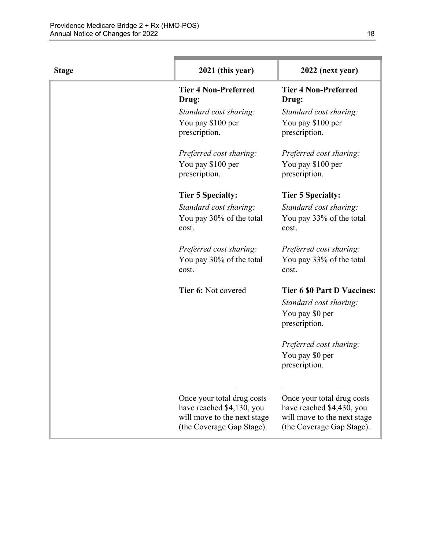| <b>Stage</b> | 2021 (this year)                                                                                                    | 2022 (next year)                                                                                                    |
|--------------|---------------------------------------------------------------------------------------------------------------------|---------------------------------------------------------------------------------------------------------------------|
|              | <b>Tier 4 Non-Preferred</b><br>Drug:                                                                                | <b>Tier 4 Non-Preferred</b><br>Drug:                                                                                |
|              | Standard cost sharing:<br>You pay \$100 per<br>prescription.                                                        | Standard cost sharing:<br>You pay \$100 per<br>prescription.                                                        |
|              | Preferred cost sharing:<br>You pay \$100 per<br>prescription.                                                       | Preferred cost sharing:<br>You pay \$100 per<br>prescription.                                                       |
|              | <b>Tier 5 Specialty:</b>                                                                                            | <b>Tier 5 Specialty:</b>                                                                                            |
|              | Standard cost sharing:<br>You pay 30% of the total<br>cost.                                                         | Standard cost sharing:<br>You pay 33% of the total<br>cost.                                                         |
|              | Preferred cost sharing:<br>You pay 30% of the total<br>cost.                                                        | Preferred cost sharing:<br>You pay 33% of the total<br>cost.                                                        |
|              | Tier 6: Not covered                                                                                                 | <b>Tier 6 \$0 Part D Vaccines:</b><br>Standard cost sharing:<br>You pay \$0 per<br>prescription.                    |
|              |                                                                                                                     | Preferred cost sharing:<br>You pay \$0 per<br>prescription.                                                         |
|              | Once your total drug costs<br>have reached \$4,130, you<br>will move to the next stage<br>(the Coverage Gap Stage). | Once your total drug costs<br>have reached \$4,430, you<br>will move to the next stage<br>(the Coverage Gap Stage). |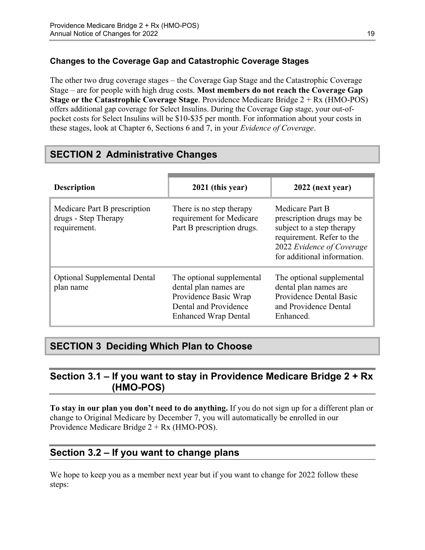#### **Changes to the Coverage Gap and Catastrophic Coverage Stages**

The other two drug coverage stages – the Coverage Gap Stage and the Catastrophic Coverage Stage – are for people with high drug costs. **Most members do not reach the Coverage Gap Stage or the Catastrophic Coverage Stage**. Providence Medicare Bridge 2 + Rx (HMO-POS) offers additional gap coverage for Select Insulins. During the Coverage Gap stage, your out-ofpocket costs for Select Insulins will be \$10-\$35 per month. For information about your costs in these stages, look at Chapter 6, Sections 6 and 7, in your *Evidence of Coverage*.

## <span id="page-21-0"></span>**SECTION 2 Administrative Changes**

| <b>Description</b>                                                   | 2021 (this year)                                                                                                                    | 2022 (next year)                                                                                                                                                   |
|----------------------------------------------------------------------|-------------------------------------------------------------------------------------------------------------------------------------|--------------------------------------------------------------------------------------------------------------------------------------------------------------------|
| Medicare Part B prescription<br>drugs - Step Therapy<br>requirement. | There is no step therapy<br>requirement for Medicare<br>Part B prescription drugs.                                                  | Medicare Part B<br>prescription drugs may be<br>subject to a step therapy<br>requirement. Refer to the<br>2022 Evidence of Coverage<br>for additional information. |
| <b>Optional Supplemental Dental</b><br>plan name                     | The optional supplemental<br>dental plan names are<br>Providence Basic Wrap<br>Dental and Providence<br><b>Enhanced Wrap Dental</b> | The optional supplemental<br>dental plan names are<br>Providence Dental Basic<br>and Providence Dental<br>Enhanced.                                                |

## <span id="page-21-1"></span>**SECTION 3 Deciding Which Plan to Choose**

## <span id="page-21-2"></span>**Section 3.1 – If you want to stay in Providence Medicare Bridge 2 + Rx (HMO-POS)**

**To stay in our plan you don't need to do anything.** If you do not sign up for a different plan or change to Original Medicare by December 7, you will automatically be enrolled in our Providence Medicare Bridge 2 + Rx (HMO-POS).

## <span id="page-21-3"></span>**Section 3.2 – If you want to change plans**

We hope to keep you as a member next year but if you want to change for 2022 follow these steps: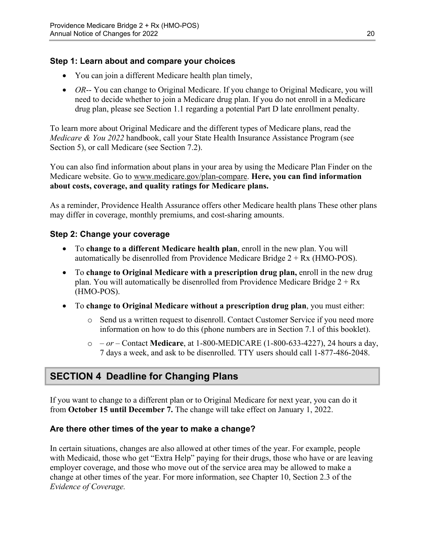#### **Step 1: Learn about and compare your choices**

- You can join a different Medicare health plan timely,
- *OR*-- You can change to Original Medicare. If you change to Original Medicare, you will need to decide whether to join a Medicare drug plan. If you do not enroll in a Medicare drug plan, please see Section 1.1 regarding a potential Part D late enrollment penalty.

To learn more about Original Medicare and the different types of Medicare plans, read the *Medicare & You 2022* handbook, call your State Health Insurance Assistance Program (see Section 5), or call Medicare (see Section 7.2).

You can also find information about plans in your area by using the Medicare Plan Finder on the Medicare website. Go to [www.medicare.gov/plan-compare](http://www.medicare.gov/plan-compare). **Here, you can find information about costs, coverage, and quality ratings for Medicare plans.** 

As a reminder, Providence Health Assurance offers other Medicare health plans These other plans may differ in coverage, monthly premiums, and cost-sharing amounts.

#### **Step 2: Change your coverage**

- To **change to a different Medicare health plan**, enroll in the new plan. You will automatically be disenrolled from Providence Medicare Bridge  $2 + Rx$  (HMO-POS).
- To **change to Original Medicare with a prescription drug plan,** enroll in the new drug plan. You will automatically be disenrolled from Providence Medicare Bridge  $2 + Rx$ (HMO-POS).
- To **change to Original Medicare without a prescription drug plan**, you must either:
	- $\circ$  Send us a written request to disenroll. Contact Customer Service if you need more information on how to do this (phone numbers are in Section 7.1 of this booklet).
	- o  *or –* Contact **Medicare**, at 1-800-MEDICARE (1-800-633-4227), 24 hours a day, 7 days a week, and ask to be disenrolled. TTY users should call 1-877-486-2048.

## <span id="page-22-0"></span>**SECTION 4 Deadline for Changing Plans**

If you want to change to a different plan or to Original Medicare for next year, you can do it from **October 15 until December 7.** The change will take effect on January 1, 2022.

#### **Are there other times of the year to make a change?**

In certain situations, changes are also allowed at other times of the year. For example, people with Medicaid, those who get "Extra Help" paying for their drugs, those who have or are leaving employer coverage, and those who move out of the service area may be allowed to make a change at other times of the year. For more information, see Chapter 10, Section 2.3 of the *Evidence of Coverage.*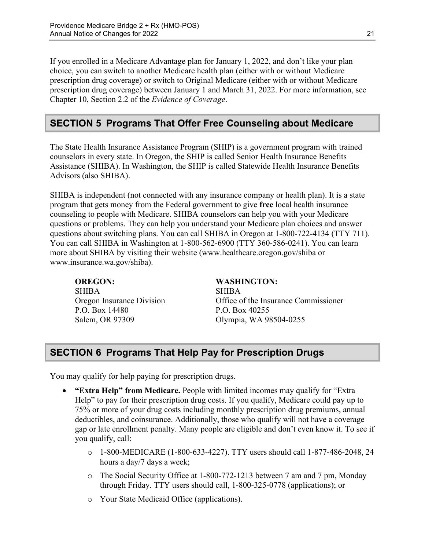Chapter 10, Section 2.2 of the *Evidence of Coverage*. If you enrolled in a Medicare Advantage plan for January 1, 2022, and don't like your plan choice, you can switch to another Medicare health plan (either with or without Medicare prescription drug coverage) or switch to Original Medicare (either with or without Medicare prescription drug coverage) between January 1 and March 31, 2022. For more information, see

## <span id="page-23-0"></span>**SECTION 5 Programs That Offer Free Counseling about Medicare**

The State Health Insurance Assistance Program (SHIP) is a government program with trained counselors in every state. In Oregon, the SHIP is called Senior Health Insurance Benefits Assistance (SHIBA). In Washington, the SHIP is called Statewide Health Insurance Benefits Advisors (also SHIBA).

 SHIBA is independent (not connected with any insurance company or health plan). It is a state program that gets money from the Federal government to give **free** local health insurance counseling to people with Medicare. SHIBA counselors can help you with your Medicare questions or problems. They can help you understand your Medicare plan choices and answer questions about switching plans. You can call SHIBA in Oregon at 1-800-722-4134 (TTY 711). You can call SHIBA in Washington at 1-800-562-6900 (TTY 360-586-0241). You can learn more about SHIBA by visiting their website ([www.healthcare.oregon.gov/shiba](http://healthcare.oregon.gov/shiba) or [www.insurance.wa.gov/shiba\)](http://www.insurance.wa.gov/shiba).

SHIBA SHIBA P.O. Box 14480 P.O. Box 40255

#### **OREGON: WASHINGTON:**

Oregon Insurance Division Office of the Insurance Commissioner Salem, OR 97309 Olympia, WA 98504-0255

## <span id="page-23-1"></span>**SECTION 6 Programs That Help Pay for Prescription Drugs**

You may qualify for help paying for prescription drugs.

- **"Extra Help" from Medicare.** People with limited incomes may qualify for "Extra Help" to pay for their prescription drug costs. If you qualify, Medicare could pay up to 75% or more of your drug costs including monthly prescription drug premiums, annual deductibles, and coinsurance. Additionally, those who qualify will not have a coverage gap or late enrollment penalty. Many people are eligible and don't even know it. To see if you qualify, call:
	- $\circ$  1-800-MEDICARE (1-800-633-4227). TTY users should call 1-877-486-2048, 24 hours a day/7 days a week;
	- o The Social Security Office at 1-800-772-1213 between 7 am and 7 pm, Monday through Friday. TTY users should call, 1-800-325-0778 (applications); or
	- o Your State Medicaid Office (applications).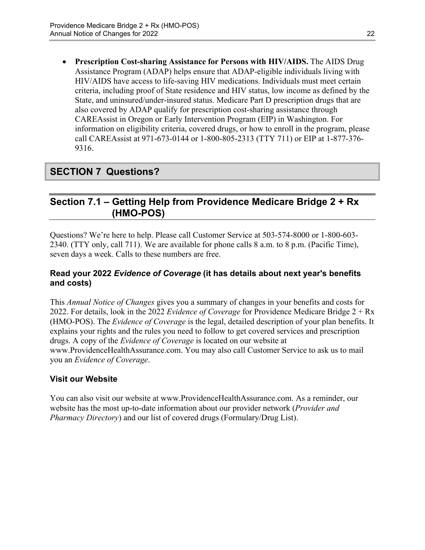**Prescription Cost-sharing Assistance for Persons with HIV/AIDS.** The AIDS Drug Assistance Program (ADAP) helps ensure that ADAP-eligible individuals living with HIV/AIDS have access to life-saving HIV medications. Individuals must meet certain criteria, including proof of State residence and HIV status, low income as defined by the State, and uninsured/under-insured status. Medicare Part D prescription drugs that are also covered by ADAP qualify for prescription cost-sharing assistance through CAREAssist in Oregon or Early Intervention Program (EIP) in Washington. For information on eligibility criteria, covered drugs, or how to enroll in the program, please call CAREAssist at 971-673-0144 or 1-800-805-2313 (TTY 711) or EIP at 1-877-376 9316.

## <span id="page-24-0"></span>**SECTION 7 Questions?**

## <span id="page-24-1"></span>**Section 7.1 – Getting Help from Providence Medicare Bridge 2 + Rx (HMO-POS)**

Questions? We're here to help. Please call Customer Service at 503-574-8000 or 1-800-603 2340. (TTY only, call 711). We are available for phone calls 8 a.m. to 8 p.m. (Pacific Time), seven days a week. Calls to these numbers are free.

#### **Read your 2022** *Evidence of Coverage* **(it has details about next year's benefits and costs)**

This *Annual Notice of Changes* gives you a summary of changes in your benefits and costs for 2022. For details, look in the 2022 *Evidence of Coverage* for Providence Medicare Bridge 2 + Rx (HMO-POS). The *Evidence of Coverage* is the legal, detailed description of your plan benefits. It explains your rights and the rules you need to follow to get covered services and prescription drugs. A copy of the *Evidence of Coverage* is located on our website at [www.ProvidenceHealthAssurance.com.](http://www.ProvidenceHealthAssurance.com) You may also call Customer Service to ask us to mail you an *Evidence of Coverage*.

#### **Visit our Website**

You can also visit our website at [www.ProvidenceHealthAssurance.com](http://www.ProvidenceHealthAssurance.com). As a reminder, our website has the most up-to-date information about our provider network (*Provider and Pharmacy Directory*) and our list of covered drugs (Formulary/Drug List).